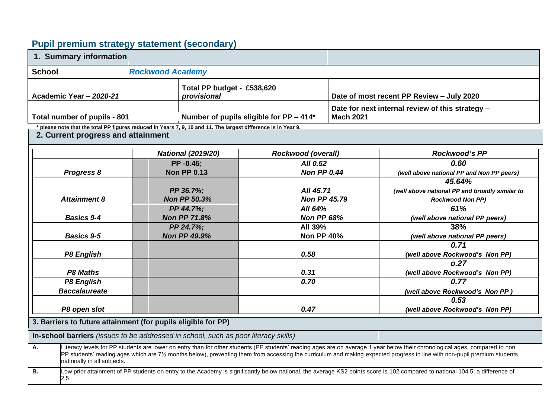# **Pupil premium strategy statement (secondary)**

| 1. Summary information                                                                                                                               |                                  |                                  |                                         |                                                                      |                                                                                                                                                                                                                                                                                                                                                           |  |
|------------------------------------------------------------------------------------------------------------------------------------------------------|----------------------------------|----------------------------------|-----------------------------------------|----------------------------------------------------------------------|-----------------------------------------------------------------------------------------------------------------------------------------------------------------------------------------------------------------------------------------------------------------------------------------------------------------------------------------------------------|--|
| <b>School</b>                                                                                                                                        | <b>Rockwood Academy</b>          |                                  |                                         |                                                                      |                                                                                                                                                                                                                                                                                                                                                           |  |
| Academic Year - 2020-21<br>provisional                                                                                                               |                                  | Total PP budget - £538,620       |                                         |                                                                      | Date of most recent PP Review - July 2020                                                                                                                                                                                                                                                                                                                 |  |
| Total number of pupils - 801                                                                                                                         |                                  |                                  | Number of pupils eligible for PP - 414* | Date for next internal review of this strategy -<br><b>Mach 2021</b> |                                                                                                                                                                                                                                                                                                                                                           |  |
| * please note that the total PP figures reduced in Years 7, 9, 10 and 11. The largest difference is in Year 9.<br>2. Current progress and attainment |                                  |                                  |                                         |                                                                      |                                                                                                                                                                                                                                                                                                                                                           |  |
|                                                                                                                                                      |                                  | <b>National (2019/20)</b>        | <b>Rockwood (overall)</b>               |                                                                      | <b>Rockwood's PP</b>                                                                                                                                                                                                                                                                                                                                      |  |
| Progress 8                                                                                                                                           |                                  | PP -0.45;<br><b>Non PP 0.13</b>  | AII 0.52<br><b>Non PP 0.44</b>          |                                                                      | 0.60<br>(well above national PP and Non PP peers)                                                                                                                                                                                                                                                                                                         |  |
| <b>Attainment 8</b>                                                                                                                                  |                                  | PP 36.7%;<br><b>Non PP 50.3%</b> | All 45.71<br><b>Non PP 45.79</b>        |                                                                      | 45.64%<br>(well above national PP and broadly similar to<br><b>Rockwood Non PP)</b>                                                                                                                                                                                                                                                                       |  |
| <b>Basics 9-4</b>                                                                                                                                    | PP 44.7%;<br><b>Non PP 71.8%</b> |                                  | All 64%<br><b>Non PP 68%</b>            |                                                                      | 61%<br>(well above national PP peers)                                                                                                                                                                                                                                                                                                                     |  |
| <b>Basics 9-5</b>                                                                                                                                    | PP 24.7%;<br><b>Non PP 49.9%</b> |                                  | All 39%<br><b>Non PP 40%</b>            |                                                                      | 38%<br>(well above national PP peers)<br>0.71                                                                                                                                                                                                                                                                                                             |  |
| <b>P8 English</b>                                                                                                                                    |                                  |                                  | 0.58                                    |                                                                      | (well above Rockwood's Non PP)                                                                                                                                                                                                                                                                                                                            |  |
| <b>P8 Maths</b>                                                                                                                                      |                                  |                                  | 0.31                                    |                                                                      | 0.27<br>(well above Rockwood's Non PP)                                                                                                                                                                                                                                                                                                                    |  |
| <b>P8 English</b><br><b>Baccalaureate</b>                                                                                                            |                                  |                                  | 0.70                                    |                                                                      | 0.77<br>(well above Rockwood's Non PP)                                                                                                                                                                                                                                                                                                                    |  |
| P8 open slot                                                                                                                                         |                                  |                                  | 0.47                                    |                                                                      | 0.53<br>(well above Rockwood's Non PP)                                                                                                                                                                                                                                                                                                                    |  |
| 3. Barriers to future attainment (for pupils eligible for PP)                                                                                        |                                  |                                  |                                         |                                                                      |                                                                                                                                                                                                                                                                                                                                                           |  |
| In-school barriers (issues to be addressed in school, such as poor literacy skills)                                                                  |                                  |                                  |                                         |                                                                      |                                                                                                                                                                                                                                                                                                                                                           |  |
| А.<br>nationally in all subjects.                                                                                                                    |                                  |                                  |                                         |                                                                      | Literacy levels for PP students are lower on entry than for other students (PP students' reading ages are on average 1 year below their chronological ages, compared to non<br>PP students' reading ages which are 71/2 months below), preventing them from accessing the curriculum and making expected progress in line with non-pupil premium students |  |
| В.<br>2.5                                                                                                                                            |                                  |                                  |                                         |                                                                      | Low prior attainment of PP students on entry to the Academy is significantly below national, the average KS2 points score is 102 compared to national 104.5, a difference of                                                                                                                                                                              |  |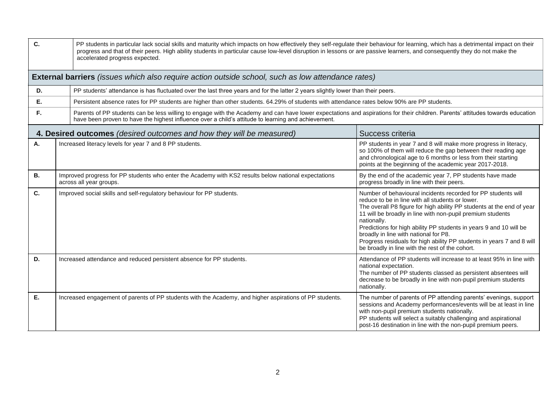| C.        | PP students in particular lack social skills and maturity which impacts on how effectively they self-regulate their behaviour for learning, which has a detrimental impact on their<br>progress and that of their peers. High ability students in particular cause low-level disruption in lessons or are passive learners, and consequently they do not make the<br>accelerated progress expected. |                                                                                                                                                                                                                                                                                                                                                                                                                                                                                                                    |  |  |  |  |  |  |
|-----------|-----------------------------------------------------------------------------------------------------------------------------------------------------------------------------------------------------------------------------------------------------------------------------------------------------------------------------------------------------------------------------------------------------|--------------------------------------------------------------------------------------------------------------------------------------------------------------------------------------------------------------------------------------------------------------------------------------------------------------------------------------------------------------------------------------------------------------------------------------------------------------------------------------------------------------------|--|--|--|--|--|--|
|           | <b>External barriers</b> (issues which also require action outside school, such as low attendance rates)                                                                                                                                                                                                                                                                                            |                                                                                                                                                                                                                                                                                                                                                                                                                                                                                                                    |  |  |  |  |  |  |
| D.        | PP students' attendance is has fluctuated over the last three years and for the latter 2 years slightly lower than their peers.                                                                                                                                                                                                                                                                     |                                                                                                                                                                                                                                                                                                                                                                                                                                                                                                                    |  |  |  |  |  |  |
| Е.        | Persistent absence rates for PP students are higher than other students. 64.29% of students with attendance rates below 90% are PP students.                                                                                                                                                                                                                                                        |                                                                                                                                                                                                                                                                                                                                                                                                                                                                                                                    |  |  |  |  |  |  |
| F.        | Parents of PP students can be less willing to engage with the Academy and can have lower expectations and aspirations for their children. Parents' attitudes towards education<br>have been proven to have the highest influence over a child's attitude to learning and achievement.                                                                                                               |                                                                                                                                                                                                                                                                                                                                                                                                                                                                                                                    |  |  |  |  |  |  |
|           | 4. Desired outcomes (desired outcomes and how they will be measured)                                                                                                                                                                                                                                                                                                                                | Success criteria                                                                                                                                                                                                                                                                                                                                                                                                                                                                                                   |  |  |  |  |  |  |
| Α.        | Increased literacy levels for year 7 and 8 PP students.                                                                                                                                                                                                                                                                                                                                             | PP students in year 7 and 8 will make more progress in literacy,<br>so 100% of them will reduce the gap between their reading age<br>and chronological age to 6 months or less from their starting<br>points at the beginning of the academic year 2017-2018.                                                                                                                                                                                                                                                      |  |  |  |  |  |  |
| <b>B.</b> | Improved progress for PP students who enter the Academy with KS2 results below national expectations<br>across all year groups.                                                                                                                                                                                                                                                                     | By the end of the academic year 7, PP students have made<br>progress broadly in line with their peers.                                                                                                                                                                                                                                                                                                                                                                                                             |  |  |  |  |  |  |
| C.        | Improved social skills and self-regulatory behaviour for PP students.                                                                                                                                                                                                                                                                                                                               | Number of behavioural incidents recorded for PP students will<br>reduce to be in line with all students or lower.<br>The overall P8 figure for high ability PP students at the end of year<br>11 will be broadly in line with non-pupil premium students<br>nationally.<br>Predictions for high ability PP students in years 9 and 10 will be<br>broadly in line with national for P8.<br>Progress residuals for high ability PP students in years 7 and 8 will<br>be broadly in line with the rest of the cohort. |  |  |  |  |  |  |
| D.        | Increased attendance and reduced persistent absence for PP students.                                                                                                                                                                                                                                                                                                                                | Attendance of PP students will increase to at least 95% in line with<br>national expectation.<br>The number of PP students classed as persistent absentees will<br>decrease to be broadly in line with non-pupil premium students<br>nationally.                                                                                                                                                                                                                                                                   |  |  |  |  |  |  |
| E.        | Increased engagement of parents of PP students with the Academy, and higher aspirations of PP students.                                                                                                                                                                                                                                                                                             | The number of parents of PP attending parents' evenings, support<br>sessions and Academy performances/events will be at least in line<br>with non-pupil premium students nationally.<br>PP students will select a suitably challenging and aspirational<br>post-16 destination in line with the non-pupil premium peers.                                                                                                                                                                                           |  |  |  |  |  |  |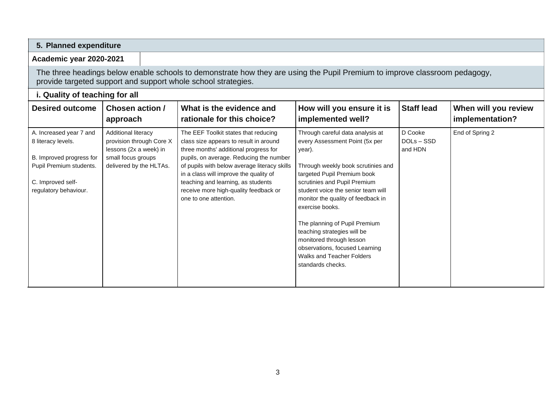### **5. Planned expenditure**

#### **Academic year 2020-2021**

The three headings below enable schools to demonstrate how they are using the Pupil Premium to improve classroom pedagogy, provide targeted support and support whole school strategies.

#### **i. Quality of teaching for all**

| <b>Desired outcome</b>                                                                                                                             | Chosen action /<br>approach                                                                                                | What is the evidence and<br>rationale for this choice?                                                                                                                                                                                                                                                                                                               | How will you ensure it is<br>implemented well?                                                                                                                                                                                                                                                                                                                                                                                                                   | <b>Staff lead</b>              | When will you review<br>implementation? |
|----------------------------------------------------------------------------------------------------------------------------------------------------|----------------------------------------------------------------------------------------------------------------------------|----------------------------------------------------------------------------------------------------------------------------------------------------------------------------------------------------------------------------------------------------------------------------------------------------------------------------------------------------------------------|------------------------------------------------------------------------------------------------------------------------------------------------------------------------------------------------------------------------------------------------------------------------------------------------------------------------------------------------------------------------------------------------------------------------------------------------------------------|--------------------------------|-----------------------------------------|
| A. Increased year 7 and<br>8 literacy levels.<br>B. Improved progress for<br>Pupil Premium students.<br>C. Improved self-<br>regulatory behaviour. | Additional literacy<br>provision through Core X<br>lessons (2x a week) in<br>small focus groups<br>delivered by the HLTAs. | The EEF Toolkit states that reducing<br>class size appears to result in around<br>three months' additional progress for<br>pupils, on average. Reducing the number<br>of pupils with below average literacy skills<br>in a class will improve the quality of<br>teaching and learning, as students<br>receive more high-quality feedback or<br>one to one attention. | Through careful data analysis at<br>every Assessment Point (5x per<br>year).<br>Through weekly book scrutinies and<br>targeted Pupil Premium book<br>scrutinies and Pupil Premium<br>student voice the senior team will<br>monitor the quality of feedback in<br>exercise books.<br>The planning of Pupil Premium<br>teaching strategies will be<br>monitored through lesson<br>observations, focused Learning<br>Walks and Teacher Folders<br>standards checks. | D Cooke<br>DOLs-SSD<br>and HDN | End of Spring 2                         |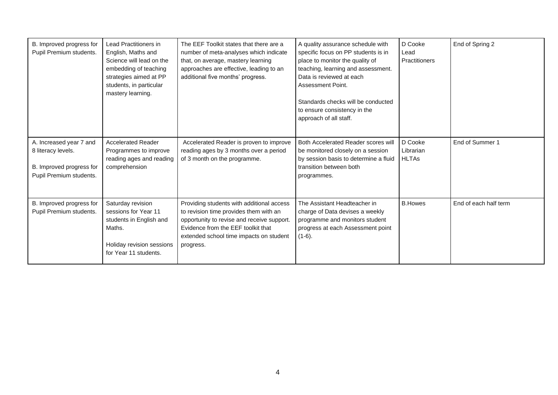| B. Improved progress for<br>Pupil Premium students.                                                  | Lead Practitioners in<br>English, Maths and<br>Science will lead on the<br>embedding of teaching<br>strategies aimed at PP<br>students, in particular<br>mastery learning. | The EEF Toolkit states that there are a<br>number of meta-analyses which indicate<br>that, on average, mastery learning<br>approaches are effective, leading to an<br>additional five months' progress.                         | A quality assurance schedule with<br>specific focus on PP students is in<br>place to monitor the quality of<br>teaching, learning and assessment.<br>Data is reviewed at each<br>Assessment Point.<br>Standards checks will be conducted<br>to ensure consistency in the<br>approach of all staff. | D Cooke<br>Lead<br>Practitioners     | End of Spring 2       |
|------------------------------------------------------------------------------------------------------|----------------------------------------------------------------------------------------------------------------------------------------------------------------------------|---------------------------------------------------------------------------------------------------------------------------------------------------------------------------------------------------------------------------------|----------------------------------------------------------------------------------------------------------------------------------------------------------------------------------------------------------------------------------------------------------------------------------------------------|--------------------------------------|-----------------------|
| A. Increased year 7 and<br>8 literacy levels.<br>B. Improved progress for<br>Pupil Premium students. | <b>Accelerated Reader</b><br>Programmes to improve<br>reading ages and reading<br>comprehension                                                                            | Accelerated Reader is proven to improve<br>reading ages by 3 months over a period<br>of 3 month on the programme.                                                                                                               | Both Accelerated Reader scores will<br>be monitored closely on a session<br>by session basis to determine a fluid<br>transition between both<br>programmes.                                                                                                                                        | D Cooke<br>Librarian<br><b>HLTAs</b> | End of Summer 1       |
| B. Improved progress for<br>Pupil Premium students.                                                  | Saturday revision<br>sessions for Year 11<br>students in English and<br>Maths.<br>Holiday revision sessions<br>for Year 11 students.                                       | Providing students with additional access<br>to revision time provides them with an<br>opportunity to revise and receive support.<br>Evidence from the EEF toolkit that<br>extended school time impacts on student<br>progress. | The Assistant Headteacher in<br>charge of Data devises a weekly<br>programme and monitors student<br>progress at each Assessment point<br>$(1-6)$ .                                                                                                                                                | <b>B.Howes</b>                       | End of each half term |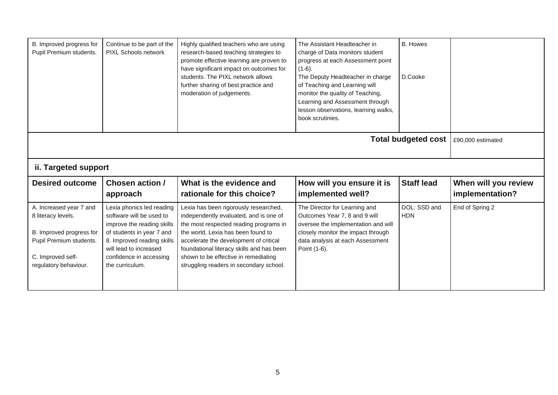| B. Improved progress for<br>Pupil Premium students.                                                                                                | Continue to be part of the<br>PIXL Schools network                                                                                                                                                                     | Highly qualified teachers who are using<br>research-based teaching strategies to<br>promote effective learning are proven to<br>have significant impact on outcomes for<br>students. The PIXL network allows<br>further sharing of best practice and<br>moderation of judgements.                                                         | The Assistant Headteacher in<br>charge of Data monitors student<br>progress at each Assessment point<br>$(1-6)$ .<br>The Deputy Headteacher in charge<br>of Teaching and Learning will<br>monitor the quality of Teaching,<br>Learning and Assessment through<br>lesson observations, learning walks,<br>book scrutinies. | <b>B.</b> Howes<br>D.Cooke |                      |
|----------------------------------------------------------------------------------------------------------------------------------------------------|------------------------------------------------------------------------------------------------------------------------------------------------------------------------------------------------------------------------|-------------------------------------------------------------------------------------------------------------------------------------------------------------------------------------------------------------------------------------------------------------------------------------------------------------------------------------------|---------------------------------------------------------------------------------------------------------------------------------------------------------------------------------------------------------------------------------------------------------------------------------------------------------------------------|----------------------------|----------------------|
|                                                                                                                                                    |                                                                                                                                                                                                                        |                                                                                                                                                                                                                                                                                                                                           |                                                                                                                                                                                                                                                                                                                           | <b>Total budgeted cost</b> | £90,000 estimated    |
| ii. Targeted support                                                                                                                               |                                                                                                                                                                                                                        |                                                                                                                                                                                                                                                                                                                                           |                                                                                                                                                                                                                                                                                                                           |                            |                      |
| <b>Desired outcome</b>                                                                                                                             | Chosen action /                                                                                                                                                                                                        | What is the evidence and                                                                                                                                                                                                                                                                                                                  | How will you ensure it is                                                                                                                                                                                                                                                                                                 | <b>Staff lead</b>          | When will you review |
|                                                                                                                                                    | approach                                                                                                                                                                                                               | rationale for this choice?                                                                                                                                                                                                                                                                                                                | implemented well?                                                                                                                                                                                                                                                                                                         |                            | implementation?      |
| A. Increased year 7 and<br>8 literacy levels.<br>B. Improved progress for<br>Pupil Premium students.<br>C. Improved self-<br>regulatory behaviour. | Lexia phonics led reading<br>software will be used to<br>improve the reading skills<br>of students in year 7 and<br>8. Improved reading skills<br>will lead to increased<br>confidence in accessing<br>the curriculum. | Lexia has been rigorously researched,<br>independently evaluated, and is one of<br>the most respected reading programs in<br>the world, Lexia has been found to<br>accelerate the development of critical<br>foundational literacy skills and has been<br>shown to be effective in remediating<br>struggling readers in secondary school. | The Director for Learning and<br>Outcomes Year 7, 8 and 9 will<br>oversee the implementation and will<br>closely monitor the impact through<br>data analysis at each Assessment<br>Point (1-6).                                                                                                                           | DOL: SSD and<br><b>HDN</b> | End of Spring 2      |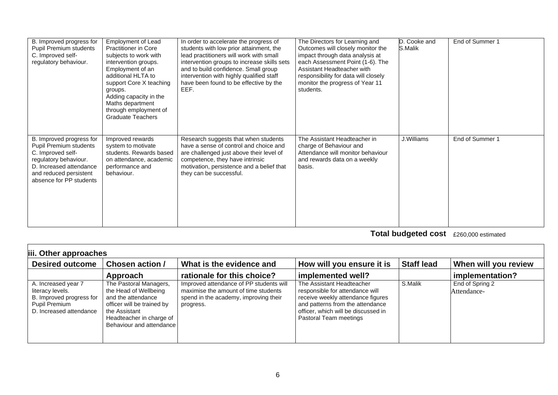| B. Improved progress for<br>Pupil Premium students<br>C. Improved self-<br>regulatory behaviour.                                                                                        | <b>Employment of Lead</b><br><b>Practitioner in Core</b><br>subjects to work with<br>intervention groups.<br>Employment of an<br>additional HLTA to<br>support Core X teaching<br>groups.<br>Adding capacity in the<br>Maths department<br>through employment of<br><b>Graduate Teachers</b> | In order to accelerate the progress of<br>students with low prior attainment, the<br>lead practitioners will work with small<br>intervention groups to increase skills sets<br>and to build confidence. Small group<br>intervention with highly qualified staff<br>have been found to be effective by the<br>EEF. | The Directors for Learning and<br>Outcomes will closely monitor the<br>impact through data analysis at<br>each Assessment Point (1-6). The<br>Assistant Headteacher with<br>responsibility for data will closely<br>monitor the progress of Year 11<br>students. | D. Cooke and<br>S.Malik | End of Summer 1 |
|-----------------------------------------------------------------------------------------------------------------------------------------------------------------------------------------|----------------------------------------------------------------------------------------------------------------------------------------------------------------------------------------------------------------------------------------------------------------------------------------------|-------------------------------------------------------------------------------------------------------------------------------------------------------------------------------------------------------------------------------------------------------------------------------------------------------------------|------------------------------------------------------------------------------------------------------------------------------------------------------------------------------------------------------------------------------------------------------------------|-------------------------|-----------------|
| B. Improved progress for<br><b>Pupil Premium students</b><br>C. Improved self-<br>regulatory behaviour.<br>D. Increased attendance<br>and reduced persistent<br>absence for PP students | Improved rewards<br>system to motivate<br>students. Rewards based<br>on attendance, academic<br>performance and<br>behaviour.                                                                                                                                                                | Research suggests that when students<br>have a sense of control and choice and<br>are challenged just above their level of<br>competence, they have intrinsic<br>motivation, persistence and a belief that<br>they can be successful.                                                                             | The Assistant Headteacher in<br>charge of Behaviour and<br>Attendance will monitor behaviour<br>and rewards data on a weekly<br>basis.                                                                                                                           | J.Williams              | End of Summer 1 |

**Total budgeted cost** £260,000 estimated

| <b>Desired outcome</b>                                                                                          | Chosen action /                                                                                                                                                              | What is the evidence and                                                                                                              | How will you ensure it is                                                                                                                                                                              | <b>Staff lead</b> | <b>When will you review</b>    |
|-----------------------------------------------------------------------------------------------------------------|------------------------------------------------------------------------------------------------------------------------------------------------------------------------------|---------------------------------------------------------------------------------------------------------------------------------------|--------------------------------------------------------------------------------------------------------------------------------------------------------------------------------------------------------|-------------------|--------------------------------|
|                                                                                                                 | Approach                                                                                                                                                                     | rationale for this choice?                                                                                                            | implemented well?                                                                                                                                                                                      |                   | implementation?                |
| A. Increased year 7<br>literacy levels.<br>B. Improved progress for<br>Pupil Premium<br>D. Increased attendance | The Pastoral Managers,<br>the Head of Wellbeing<br>and the attendance<br>officer will be trained by<br>the Assistant<br>Headteacher in charge of<br>Behaviour and attendance | Improved attendance of PP students will<br>maximise the amount of time students<br>spend in the academy, improving their<br>progress. | The Assistant Headteacher<br>responsible for attendance will<br>receive weekly attendance figures<br>and patterns from the attendance<br>officer, which will be discussed in<br>Pastoral Team meetings | S.Malik           | End of Spring 2<br>Attendance- |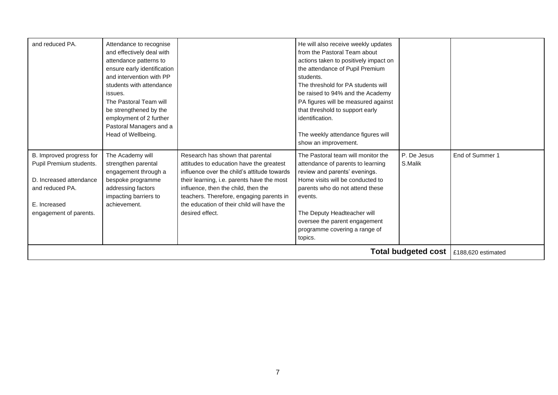| and reduced PA.                                                                                                                             | Attendance to recognise<br>and effectively deal with<br>attendance patterns to<br>ensure early identification<br>and intervention with PP<br>students with attendance<br>issues.<br>The Pastoral Team will<br>be strengthened by the<br>employment of 2 further<br>Pastoral Managers and a<br>Head of Wellbeing. |                                                                                                                                                                                                                                                                                                                               | He will also receive weekly updates<br>from the Pastoral Team about<br>actions taken to positively impact on<br>the attendance of Pupil Premium<br>students.<br>The threshold for PA students will<br>be raised to 94% and the Academy<br>PA figures will be measured against<br>that threshold to support early<br>identification.<br>The weekly attendance figures will<br>show an improvement. |                        |                    |
|---------------------------------------------------------------------------------------------------------------------------------------------|------------------------------------------------------------------------------------------------------------------------------------------------------------------------------------------------------------------------------------------------------------------------------------------------------------------|-------------------------------------------------------------------------------------------------------------------------------------------------------------------------------------------------------------------------------------------------------------------------------------------------------------------------------|---------------------------------------------------------------------------------------------------------------------------------------------------------------------------------------------------------------------------------------------------------------------------------------------------------------------------------------------------------------------------------------------------|------------------------|--------------------|
| B. Improved progress for<br>Pupil Premium students.<br>D. Increased attendance<br>and reduced PA.<br>E. Increased<br>engagement of parents. | The Academy will<br>strengthen parental<br>engagement through a<br>bespoke programme<br>addressing factors<br>impacting barriers to<br>achievement.                                                                                                                                                              | Research has shown that parental<br>attitudes to education have the greatest<br>influence over the child's attitude towards<br>their learning, i.e. parents have the most<br>influence, then the child, then the<br>teachers. Therefore, engaging parents in<br>the education of their child will have the<br>desired effect. | The Pastoral team will monitor the<br>attendance of parents to learning<br>review and parents' evenings.<br>Home visits will be conducted to<br>parents who do not attend these<br>events.<br>The Deputy Headteacher will<br>oversee the parent engagement<br>programme covering a range of<br>topics.                                                                                            | P. De Jesus<br>S.Malik | End of Summer 1    |
| <b>Total budgeted cost</b>                                                                                                                  |                                                                                                                                                                                                                                                                                                                  |                                                                                                                                                                                                                                                                                                                               |                                                                                                                                                                                                                                                                                                                                                                                                   |                        | £188,620 estimated |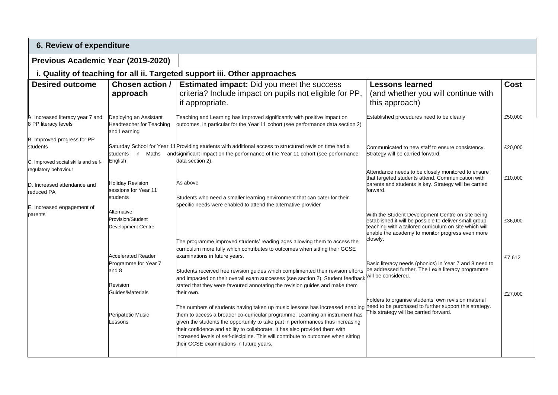| 6. Review of expenditure                                                       |                                                                           |                                                                                                                                                                                                                                                                                                                                                                                                                                                                                |                                                                                                                                                                                                                                       |             |
|--------------------------------------------------------------------------------|---------------------------------------------------------------------------|--------------------------------------------------------------------------------------------------------------------------------------------------------------------------------------------------------------------------------------------------------------------------------------------------------------------------------------------------------------------------------------------------------------------------------------------------------------------------------|---------------------------------------------------------------------------------------------------------------------------------------------------------------------------------------------------------------------------------------|-------------|
| Previous Academic Year (2019-2020)                                             |                                                                           |                                                                                                                                                                                                                                                                                                                                                                                                                                                                                |                                                                                                                                                                                                                                       |             |
|                                                                                |                                                                           | i. Quality of teaching for all ii. Targeted support iii. Other approaches                                                                                                                                                                                                                                                                                                                                                                                                      |                                                                                                                                                                                                                                       |             |
| <b>Desired outcome</b>                                                         | Chosen action /<br>approach                                               | <b>Estimated impact:</b> Did you meet the success<br>criteria? Include impact on pupils not eligible for PP,<br>if appropriate.                                                                                                                                                                                                                                                                                                                                                | <b>Lessons learned</b><br>(and whether you will continue with<br>this approach)                                                                                                                                                       | <b>Cost</b> |
| A. Increased literacy year 7 and<br>8 PP literacy levels                       | Deploying an Assistant<br><b>Headteacher for Teaching</b><br>and Learning | Teaching and Learning has improved significantly with positive impact on<br>outcomes, in particular for the Year 11 cohort (see performance data section 2)                                                                                                                                                                                                                                                                                                                    | Established procedures need to be clearly                                                                                                                                                                                             | £50,000     |
| B. Improved progress for PP<br>students<br>C. Improved social skills and self- | students<br>English                                                       | Saturday School for Year 11 Providing students with additional access to structured revision time had a<br>in Maths and significant impact on the performance of the Year 11 cohort (see performance<br>data section 2).                                                                                                                                                                                                                                                       | Communicated to new staff to ensure consistency.<br>Strategy will be carried forward.                                                                                                                                                 | £20,000     |
| regulatory behaviour<br>D. Increased attendance and<br>reduced PA              | <b>Holiday Revision</b><br>sessions for Year 11<br>students               | As above<br>Students who need a smaller learning environment that can cater for their                                                                                                                                                                                                                                                                                                                                                                                          | Attendance needs to be closely monitored to ensure<br>that targeted students attend. Communication with<br>parents and students is key. Strategy will be carried<br>forward.                                                          | £10,000     |
| E. Increased engagement of<br>parents                                          | Alternative<br><b>Provision/Student</b><br><b>Development Centre</b>      | specific needs were enabled to attend the alternative provider<br>The programme improved students' reading ages allowing them to access the                                                                                                                                                                                                                                                                                                                                    | With the Student Development Centre on site being<br>established it will be possible to deliver small group<br>teaching with a tailored curriculum on site which will<br>enable the academy to monitor progress even more<br>closely. | £36,000     |
|                                                                                | <b>Accelerated Reader</b><br>Programme for Year 7<br>and 8<br>Revision    | curriculum more fully which contributes to outcomes when sitting their GCSE<br>examinations in future years.<br>Students received free revision guides which complimented their revision efforts<br>and impacted on their overall exam successes (see section 2). Student feedback<br>stated that they were favoured annotating the revision guides and make them                                                                                                              | Basic literacy needs (phonics) in Year 7 and 8 need to<br>be addressed further. The Lexia literacy programme<br>will be considered.                                                                                                   | £7.612      |
|                                                                                | Guides/Materials<br><b>Peripatetic Music</b><br>_essons                   | their own.<br>The numbers of students having taken up music lessons has increased enabling<br>them to access a broader co-curricular programme. Learning an instrument has<br>given the students the opportunity to take part in performances thus increasing<br>their confidence and ability to collaborate. It has also provided them with<br>increased levels of self-discipline. This will contribute to outcomes when sitting<br>their GCSE examinations in future years. | Folders to organise students' own revision material<br>need to be purchased to further support this strategy.<br>This strategy will be carried forward.                                                                               | £27,000     |